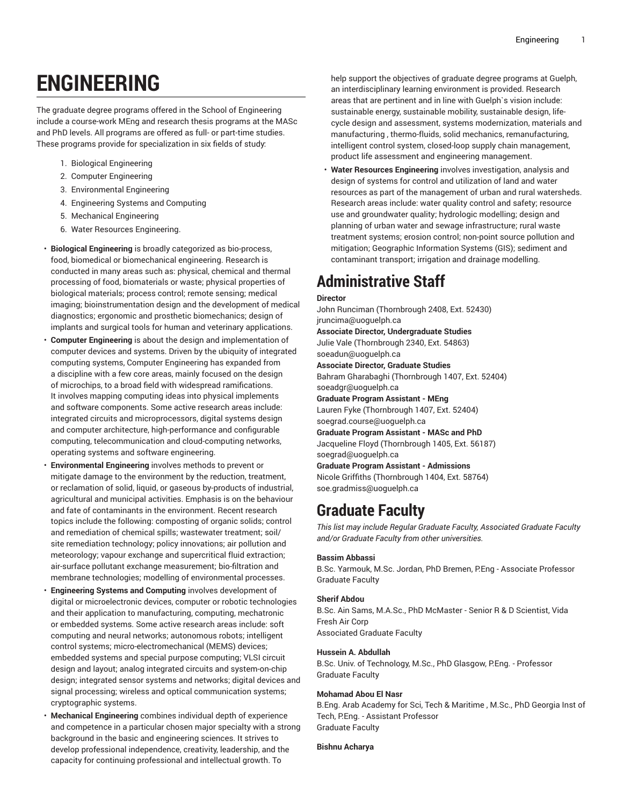# **ENGINEERING**

The graduate degree programs offered in the School of Engineering include a course-work MEng and research thesis programs at the MASc and PhD levels. All programs are offered as full- or part-time studies. These programs provide for specialization in six fields of study:

- 1. Biological Engineering
- 2. Computer Engineering
- 3. Environmental Engineering
- 4. Engineering Systems and Computing
- 5. Mechanical Engineering
- 6. Water Resources Engineering.
- **Biological Engineering** is broadly categorized as bio-process, food, biomedical or biomechanical engineering. Research is conducted in many areas such as: physical, chemical and thermal processing of food, biomaterials or waste; physical properties of biological materials; process control; remote sensing; medical imaging; bioinstrumentation design and the development of medical diagnostics; ergonomic and prosthetic biomechanics; design of implants and surgical tools for human and veterinary applications.
- **Computer Engineering** is about the design and implementation of computer devices and systems. Driven by the ubiquity of integrated computing systems, Computer Engineering has expanded from a discipline with a few core areas, mainly focused on the design of microchips, to a broad field with widespread ramifications. It involves mapping computing ideas into physical implements and software components. Some active research areas include: integrated circuits and microprocessors, digital systems design and computer architecture, high-performance and configurable computing, telecommunication and cloud-computing networks, operating systems and software engineering.
- **Environmental Engineering** involves methods to prevent or mitigate damage to the environment by the reduction, treatment, or reclamation of solid, liquid, or gaseous by-products of industrial, agricultural and municipal activities. Emphasis is on the behaviour and fate of contaminants in the environment. Recent research topics include the following: composting of organic solids; control and remediation of chemical spills; wastewater treatment; soil/ site remediation technology; policy innovations; air pollution and meteorology; vapour exchange and supercritical fluid extraction; air-surface pollutant exchange measurement; bio-filtration and membrane technologies; modelling of environmental processes.
- **Engineering Systems and Computing** involves development of digital or microelectronic devices, computer or robotic technologies and their application to manufacturing, computing, mechatronic or embedded systems. Some active research areas include: soft computing and neural networks; autonomous robots; intelligent control systems; micro-electromechanical (MEMS) devices; embedded systems and special purpose computing; VLSI circuit design and layout; analog integrated circuits and system-on-chip design; integrated sensor systems and networks; digital devices and signal processing; wireless and optical communication systems; cryptographic systems.
- **Mechanical Engineering** combines individual depth of experience and competence in a particular chosen major specialty with a strong background in the basic and engineering sciences. It strives to develop professional independence, creativity, leadership, and the capacity for continuing professional and intellectual growth. To

help support the objectives of graduate degree programs at Guelph, an interdisciplinary learning environment is provided. Research areas that are pertinent and in line with Guelph`s vision include: sustainable energy, sustainable mobility, sustainable design, lifecycle design and assessment, systems modernization, materials and manufacturing , thermo-fluids, solid mechanics, remanufacturing, intelligent control system, closed-loop supply chain management, product life assessment and engineering management.

• **Water Resources Engineering** involves investigation, analysis and design of systems for control and utilization of land and water resources as part of the management of urban and rural watersheds. Research areas include: water quality control and safety; resource use and groundwater quality; hydrologic modelling; design and planning of urban water and sewage infrastructure; rural waste treatment systems; erosion control; non-point source pollution and mitigation; Geographic Information Systems (GIS); sediment and contaminant transport; irrigation and drainage modelling.

# **Administrative Staff**

# **Director**

John Runciman (Thornbrough 2408, Ext. 52430) [jruncima@uoguelph.ca](�z����l3���]h}����@��	4=�q) **Associate Director, Undergraduate Studies** Julie Vale (Thornbrough 2340, Ext. 54863) [soeadun@uoguelph.ca](�,L�
����
V���"�������:) **Associate Director, Graduate Studies** Bahram Gharabaghi (Thornbrough 1407, Ext. 52404) [soeadgr@uoguelph.ca](��&frbmmډ6�&�����:�) **Graduate Program Assistant - MEng** Lauren Fyke (Thornbrough 1407, Ext. 52404) [soegrad.course@uoguelph.ca](WZ�`B��q{����`F鞕�y�/�u��) **Graduate Program Assistant - MASc and PhD** Jacqueline Floyd (Thornbrough 1405, Ext. 56187) [soegrad@uoguelph.ca](X�$Ll��7٥�y2yl!�P�����) **Graduate Program Assistant - Admissions** Nicole Griffiths (Thornbrough 1404, Ext. 58764) [soe.gradmiss@uoguelph.ca](�Y�W�)7�zu�|�֙�ĆN��j�*#<?*F)

# **Graduate Faculty**

*This list may include Regular Graduate Faculty, Associated Graduate Faculty and/or Graduate Faculty from other universities.*

# **Bassim Abbassi**

B.Sc. Yarmouk, M.Sc. Jordan, PhD Bremen, P.Eng - Associate Professor Graduate Faculty

# **Sherif Abdou**

B.Sc. Ain Sams, M.A.Sc., PhD McMaster - Senior R & D Scientist, Vida Fresh Air Corp Associated Graduate Faculty

# **Hussein A. Abdullah**

B.Sc. Univ. of Technology, M.Sc., PhD Glasgow, P.Eng. - Professor Graduate Faculty

# **Mohamad Abou El Nasr**

B.Eng. Arab Academy for Sci, Tech & Maritime , M.Sc., PhD Georgia Inst of Tech, P.Eng. - Assistant Professor Graduate Faculty

**Bishnu Acharya**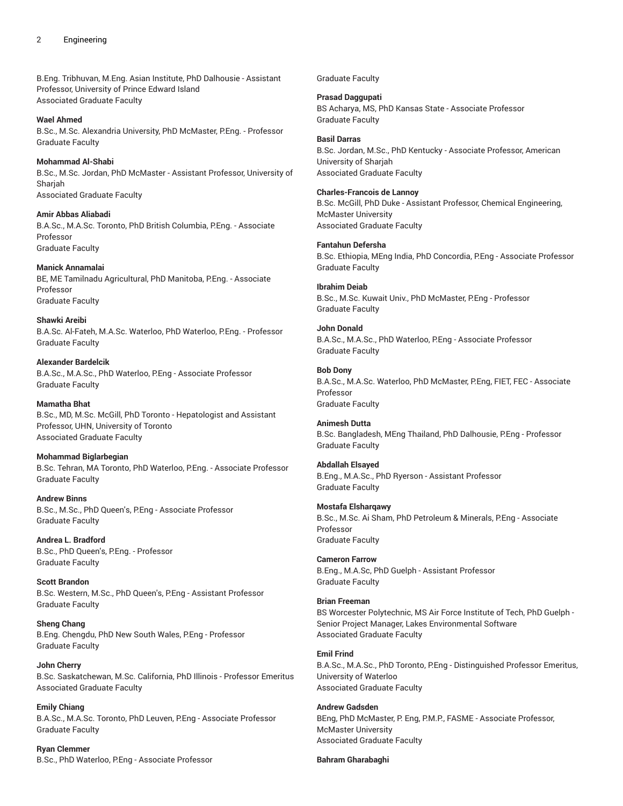B.Eng. Tribhuvan, M.Eng. Asian Institute, PhD Dalhousie - Assistant Professor, University of Prince Edward Island Associated Graduate Faculty

**Wael Ahmed**

B.Sc., M.Sc. Alexandria University, PhD McMaster, P.Eng. - Professor Graduate Faculty

**Mohammad Al-Shabi** B.Sc., M.Sc. Jordan, PhD McMaster - Assistant Professor, University of **Shariah** Associated Graduate Faculty

**Amir Abbas Aliabadi** B.A.Sc., M.A.Sc. Toronto, PhD British Columbia, P.Eng. - Associate Professor Graduate Faculty

**Manick Annamalai** BE, ME Tamilnadu Agricultural, PhD Manitoba, P.Eng. - Associate Professor Graduate Faculty

**Shawki Areibi** B.A.Sc. Al-Fateh, M.A.Sc. Waterloo, PhD Waterloo, P.Eng. - Professor Graduate Faculty

**Alexander Bardelcik** B.A.Sc., M.A.Sc., PhD Waterloo, P.Eng - Associate Professor Graduate Faculty

**Mamatha Bhat** B.Sc., MD, M.Sc. McGill, PhD Toronto - Hepatologist and Assistant Professor, UHN, University of Toronto Associated Graduate Faculty

**Mohammad Biglarbegian** B.Sc. Tehran, MA Toronto, PhD Waterloo, P.Eng. - Associate Professor Graduate Faculty

**Andrew Binns** B.Sc., M.Sc., PhD Queen's, P.Eng - Associate Professor Graduate Faculty

**Andrea L. Bradford** B.Sc., PhD Queen's, P.Eng. - Professor Graduate Faculty

**Scott Brandon** B.Sc. Western, M.Sc., PhD Queen's, P.Eng - Assistant Professor Graduate Faculty

**Sheng Chang** B.Eng. Chengdu, PhD New South Wales, P.Eng - Professor Graduate Faculty

**John Cherry** B.Sc. Saskatchewan, M.Sc. California, PhD Illinois - Professor Emeritus Associated Graduate Faculty

**Emily Chiang** B.A.Sc., M.A.Sc. Toronto, PhD Leuven, P.Eng - Associate Professor Graduate Faculty

**Ryan Clemmer** B.Sc., PhD Waterloo, P.Eng - Associate Professor Graduate Faculty

**Prasad Daggupati** BS Acharya, MS, PhD Kansas State - Associate Professor Graduate Faculty

**Basil Darras** B.Sc. Jordan, M.Sc., PhD Kentucky - Associate Professor, American University of Sharjah Associated Graduate Faculty

**Charles-Francois de Lannoy** B.Sc. McGill, PhD Duke - Assistant Professor, Chemical Engineering, McMaster University Associated Graduate Faculty

**Fantahun Defersha** B.Sc. Ethiopia, MEng India, PhD Concordia, P.Eng - Associate Professor Graduate Faculty

**Ibrahim Deiab** B.Sc., M.Sc. Kuwait Univ., PhD McMaster, P.Eng - Professor Graduate Faculty

**John Donald** B.A.Sc., M.A.Sc., PhD Waterloo, P.Eng - Associate Professor Graduate Faculty

**Bob Dony** B.A.Sc., M.A.Sc. Waterloo, PhD McMaster, P.Eng, FIET, FEC - Associate Professor Graduate Faculty

**Animesh Dutta** B.Sc. Bangladesh, MEng Thailand, PhD Dalhousie, P.Eng - Professor Graduate Faculty

**Abdallah Elsayed** B.Eng., M.A.Sc., PhD Ryerson - Assistant Professor Graduate Faculty

**Mostafa Elsharqawy** B.Sc., M.Sc. Ai Sham, PhD Petroleum & Minerals, P.Eng - Associate Professor Graduate Faculty

**Cameron Farrow** B.Eng., M.A.Sc, PhD Guelph - Assistant Professor Graduate Faculty

**Brian Freeman** BS Worcester Polytechnic, MS Air Force Institute of Tech, PhD Guelph - Senior Project Manager, Lakes Environmental Software Associated Graduate Faculty

**Emil Frind** B.A.Sc., M.A.Sc., PhD Toronto, P.Eng - Distinguished Professor Emeritus, University of Waterloo Associated Graduate Faculty

**Andrew Gadsden** BEng, PhD McMaster, P. Eng, P.M.P., FASME - Associate Professor, McMaster University Associated Graduate Faculty

**Bahram Gharabaghi**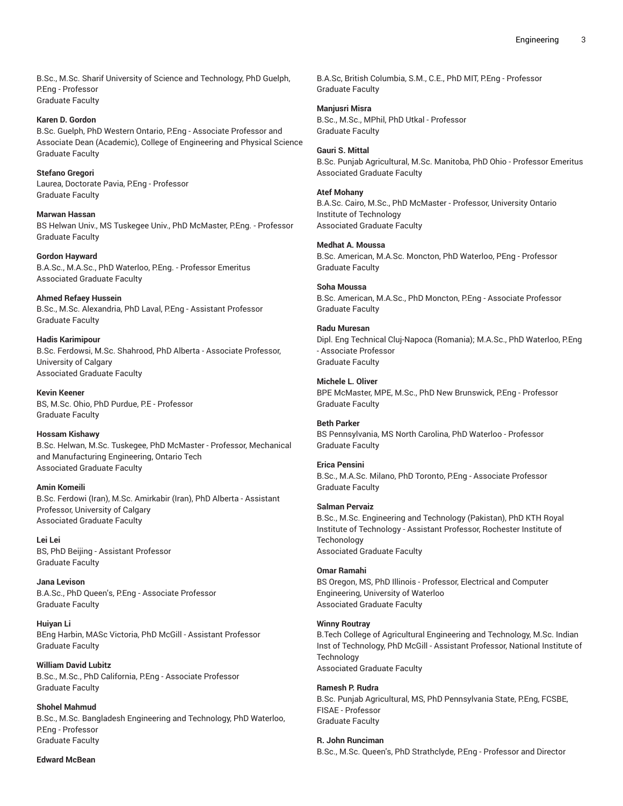B.Sc., M.Sc. Sharif University of Science and Technology, PhD Guelph, P.Eng - Professor Graduate Faculty

**Karen D. Gordon** B.Sc. Guelph, PhD Western Ontario, P.Eng - Associate Professor and Associate Dean (Academic), College of Engineering and Physical Science Graduate Faculty

**Stefano Gregori** Laurea, Doctorate Pavia, P.Eng - Professor Graduate Faculty

**Marwan Hassan** BS Helwan Univ., MS Tuskegee Univ., PhD McMaster, P.Eng. - Professor Graduate Faculty

**Gordon Hayward** B.A.Sc., M.A.Sc., PhD Waterloo, P.Eng. - Professor Emeritus Associated Graduate Faculty

**Ahmed Refaey Hussein** B.Sc., M.Sc. Alexandria, PhD Laval, P.Eng - Assistant Professor Graduate Faculty

**Hadis Karimipour** B.Sc. Ferdowsi, M.Sc. Shahrood, PhD Alberta - Associate Professor, University of Calgary Associated Graduate Faculty

**Kevin Keener** BS, M.Sc. Ohio, PhD Purdue, P.E - Professor Graduate Faculty

**Hossam Kishawy** B.Sc. Helwan, M.Sc. Tuskegee, PhD McMaster - Professor, Mechanical and Manufacturing Engineering, Ontario Tech Associated Graduate Faculty

**Amin Komeili** B.Sc. Ferdowi (Iran), M.Sc. Amirkabir (Iran), PhD Alberta - Assistant Professor, University of Calgary Associated Graduate Faculty

**Lei Lei** BS, PhD Beijing - Assistant Professor Graduate Faculty

**Jana Levison** B.A.Sc., PhD Queen's, P.Eng - Associate Professor Graduate Faculty

**Huiyan Li** BEng Harbin, MASc Victoria, PhD McGill - Assistant Professor Graduate Faculty

**William David Lubitz** B.Sc., M.Sc., PhD California, P.Eng - Associate Professor Graduate Faculty

**Shohel Mahmud** B.Sc., M.Sc. Bangladesh Engineering and Technology, PhD Waterloo, P.Eng - Professor Graduate Faculty

**Edward McBean**

B.A.Sc, British Columbia, S.M., C.E., PhD MIT, P.Eng - Professor Graduate Faculty

**Manjusri Misra** B.Sc., M.Sc., MPhil, PhD Utkal - Professor Graduate Faculty

**Gauri S. Mittal** B.Sc. Punjab Agricultural, M.Sc. Manitoba, PhD Ohio - Professor Emeritus

Associated Graduate Faculty

**Atef Mohany**

B.A.Sc. Cairo, M.Sc., PhD McMaster - Professor, University Ontario Institute of Technology Associated Graduate Faculty

**Medhat A. Moussa**

B.Sc. American, M.A.Sc. Moncton, PhD Waterloo, PEng - Professor Graduate Faculty

**Soha Moussa** B.Sc. American, M.A.Sc., PhD Moncton, P.Eng - Associate Professor Graduate Faculty

**Radu Muresan** Dipl. Eng Technical Cluj-Napoca (Romania); M.A.Sc., PhD Waterloo, P.Eng - Associate Professor Graduate Faculty

**Michele L. Oliver** BPE McMaster, MPE, M.Sc., PhD New Brunswick, P.Eng - Professor Graduate Faculty

**Beth Parker** BS Pennsylvania, MS North Carolina, PhD Waterloo - Professor Graduate Faculty

**Erica Pensini** B.Sc., M.A.Sc. Milano, PhD Toronto, P.Eng - Associate Professor Graduate Faculty

**Salman Pervaiz**

B.Sc., M.Sc. Engineering and Technology (Pakistan), PhD KTH Royal Institute of Technology - Assistant Professor, Rochester Institute of **Techonology** Associated Graduate Faculty

**Omar Ramahi** BS Oregon, MS, PhD Illinois - Professor, Electrical and Computer Engineering, University of Waterloo Associated Graduate Faculty

**Winny Routray**

B.Tech College of Agricultural Engineering and Technology, M.Sc. Indian Inst of Technology, PhD McGill - Assistant Professor, National Institute of Technology Associated Graduate Faculty

**Ramesh P. Rudra** B.Sc. Punjab Agricultural, MS, PhD Pennsylvania State, P.Eng, FCSBE, FISAE - Professor Graduate Faculty

**R. John Runciman** B.Sc., M.Sc. Queen's, PhD Strathclyde, P.Eng - Professor and Director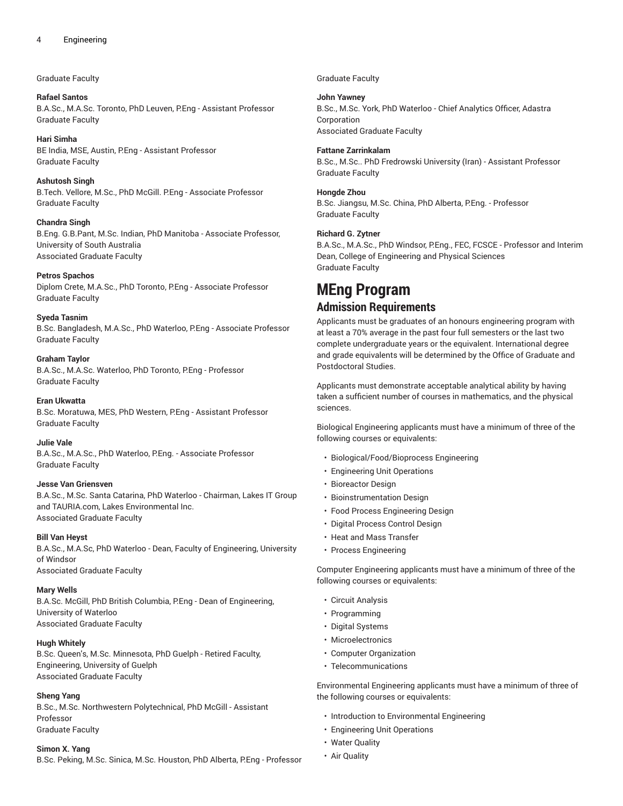### Graduate Faculty

**Rafael Santos** B.A.Sc., M.A.Sc. Toronto, PhD Leuven, P.Eng - Assistant Professor Graduate Faculty

**Hari Simha** BE India, MSE, Austin, P.Eng - Assistant Professor Graduate Faculty

**Ashutosh Singh** B.Tech. Vellore, M.Sc., PhD McGill. P.Eng - Associate Professor Graduate Faculty

**Chandra Singh** B.Eng. G.B.Pant, M.Sc. Indian, PhD Manitoba - Associate Professor, University of South Australia Associated Graduate Faculty

#### **Petros Spachos**

Diplom Crete, M.A.Sc., PhD Toronto, P.Eng - Associate Professor Graduate Faculty

**Syeda Tasnim**

B.Sc. Bangladesh, M.A.Sc., PhD Waterloo, P.Eng - Associate Professor Graduate Faculty

#### **Graham Taylor**

B.A.Sc., M.A.Sc. Waterloo, PhD Toronto, P.Eng - Professor Graduate Faculty

**Eran Ukwatta**

B.Sc. Moratuwa, MES, PhD Western, P.Eng - Assistant Professor Graduate Faculty

**Julie Vale**

B.A.Sc., M.A.Sc., PhD Waterloo, P.Eng. - Associate Professor Graduate Faculty

#### **Jesse Van Griensven**

B.A.Sc., M.Sc. Santa Catarina, PhD Waterloo - Chairman, Lakes IT Group and TAURIA.com, Lakes Environmental Inc. Associated Graduate Faculty

**Bill Van Heyst**

B.A.Sc., M.A.Sc, PhD Waterloo - Dean, Faculty of Engineering, University of Windsor Associated Graduate Faculty

**Mary Wells**

B.A.Sc. McGill, PhD British Columbia, P.Eng - Dean of Engineering, University of Waterloo Associated Graduate Faculty

#### **Hugh Whitely**

B.Sc. Queen's, M.Sc. Minnesota, PhD Guelph - Retired Faculty, Engineering, University of Guelph Associated Graduate Faculty

#### **Sheng Yang**

B.Sc., M.Sc. Northwestern Polytechnical, PhD McGill - Assistant Professor Graduate Faculty

#### **Simon X. Yang**

B.Sc. Peking, M.Sc. Sinica, M.Sc. Houston, PhD Alberta, P.Eng - Professor

Graduate Faculty

**John Yawney** B.Sc., M.Sc. York, PhD Waterloo - Chief Analytics Officer, Adastra

Corporation Associated Graduate Faculty

**Fattane Zarrinkalam**

B.Sc., M.Sc.. PhD Fredrowski University (Iran) - Assistant Professor Graduate Faculty

#### **Hongde Zhou**

B.Sc. Jiangsu, M.Sc. China, PhD Alberta, P.Eng. - Professor Graduate Faculty

#### **Richard G. Zytner**

B.A.Sc., M.A.Sc., PhD Windsor, P.Eng., FEC, FCSCE - Professor and Interim Dean, College of Engineering and Physical Sciences Graduate Faculty

# **MEng Program Admission Requirements**

Applicants must be graduates of an honours engineering program with at least a 70% average in the past four full semesters or the last two complete undergraduate years or the equivalent. International degree and grade equivalents will be determined by the Office of Graduate and Postdoctoral Studies.

Applicants must demonstrate acceptable analytical ability by having taken a sufficient number of courses in mathematics, and the physical sciences.

Biological Engineering applicants must have a minimum of three of the following courses or equivalents:

- Biological/Food/Bioprocess Engineering
- Engineering Unit Operations
- Bioreactor Design
- Bioinstrumentation Design
- Food Process Engineering Design
- Digital Process Control Design
- Heat and Mass Transfer
- Process Engineering

Computer Engineering applicants must have a minimum of three of the following courses or equivalents:

- Circuit Analysis
- Programming
- Digital Systems
- Microelectronics
- Computer Organization
- Telecommunications

Environmental Engineering applicants must have a minimum of three of the following courses or equivalents:

- Introduction to Environmental Engineering
- Engineering Unit Operations
- Water Quality
- Air Quality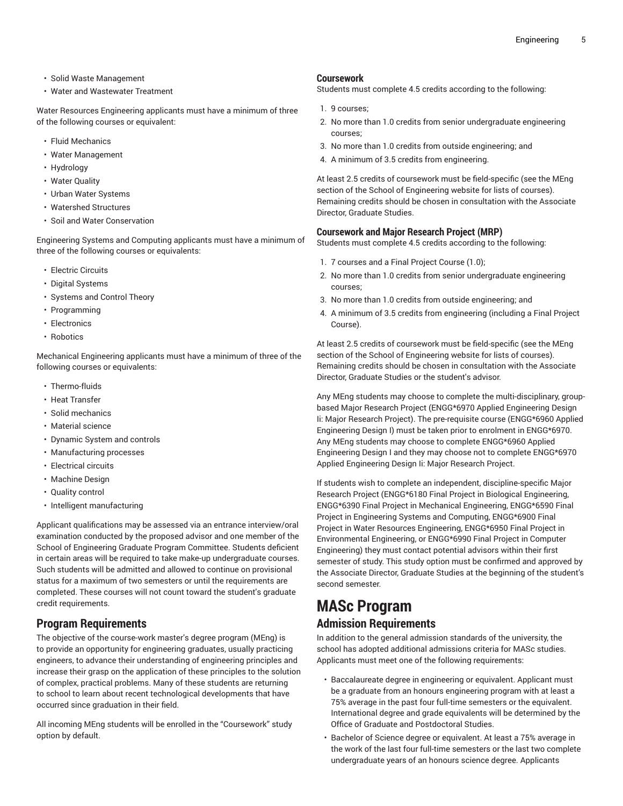- Solid Waste Management
- Water and Wastewater Treatment

Water Resources Engineering applicants must have a minimum of three of the following courses or equivalent:

- Fluid Mechanics
- Water Management
- Hydrology
- Water Quality
- Urban Water Systems
- Watershed Structures
- Soil and Water Conservation

Engineering Systems and Computing applicants must have a minimum of three of the following courses or equivalents:

- Electric Circuits
- Digital Systems
- Systems and Control Theory
- Programming
- Electronics
- Robotics

Mechanical Engineering applicants must have a minimum of three of the following courses or equivalents:

- Thermo-fluids
- Heat Transfer
- Solid mechanics
- Material science
- Dynamic System and controls
- Manufacturing processes
- Electrical circuits
- Machine Design
- Quality control
- Intelligent manufacturing

Applicant qualifications may be assessed via an entrance interview/oral examination conducted by the proposed advisor and one member of the School of Engineering Graduate Program Committee. Students deficient in certain areas will be required to take make-up undergraduate courses. Such students will be admitted and allowed to continue on provisional status for a maximum of two semesters or until the requirements are completed. These courses will not count toward the student's graduate credit requirements.

# **Program Requirements**

The objective of the course-work master's degree program (MEng) is to provide an opportunity for engineering graduates, usually practicing engineers, to advance their understanding of engineering principles and increase their grasp on the application of these principles to the solution of complex, practical problems. Many of these students are returning to school to learn about recent technological developments that have occurred since graduation in their field.

All incoming MEng students will be enrolled in the "Coursework" study option by default.

### **Coursework**

Students must complete 4.5 credits according to the following:

- 1. 9 courses;
- 2. No more than 1.0 credits from senior undergraduate engineering courses;
- 3. No more than 1.0 credits from outside engineering; and
- 4. A minimum of 3.5 credits from engineering.

At least 2.5 credits of coursework must be field-specific (see the MEng section of the School of Engineering website for lists of courses). Remaining credits should be chosen in consultation with the Associate Director, Graduate Studies.

# **Coursework and Major Research Project (MRP)**

Students must complete 4.5 credits according to the following:

- 1. 7 courses and a Final Project Course (1.0);
- 2. No more than 1.0 credits from senior undergraduate engineering courses;
- 3. No more than 1.0 credits from outside engineering; and
- 4. A minimum of 3.5 credits from engineering (including a Final Project Course).

At least 2.5 credits of coursework must be field-specific (see the MEng section of the School of Engineering website for lists of courses). Remaining credits should be chosen in consultation with the Associate Director, Graduate Studies or the student's advisor.

Any MEng students may choose to complete the multi-disciplinary, groupbased Major Research Project (ENGG\*6970 Applied Engineering Design Ii: Major Research Project). The pre-requisite course (ENGG\*6960 Applied Engineering Design I) must be taken prior to enrolment in ENGG\*6970. Any MEng students may choose to complete ENGG\*6960 Applied Engineering Design I and they may choose not to complete ENGG\*6970 Applied Engineering Design Ii: Major Research Project.

If students wish to complete an independent, discipline-specific Major Research Project (ENGG\*6180 Final Project in Biological Engineering, ENGG\*6390 Final Project in Mechanical Engineering, ENGG\*6590 Final Project in Engineering Systems and Computing, ENGG\*6900 Final Project in Water Resources Engineering, ENGG\*6950 Final Project in Environmental Engineering, or ENGG\*6990 Final Project in Computer Engineering) they must contact potential advisors within their first semester of study. This study option must be confirmed and approved by the Associate Director, Graduate Studies at the beginning of the student's second semester.

# **MASc Program Admission Requirements**

In addition to the general admission standards of the university, the school has adopted additional admissions criteria for MASc studies. Applicants must meet one of the following requirements:

- Baccalaureate degree in engineering or equivalent. Applicant must be a graduate from an honours engineering program with at least a 75% average in the past four full-time semesters or the equivalent. International degree and grade equivalents will be determined by the Office of Graduate and Postdoctoral Studies.
- Bachelor of Science degree or equivalent. At least a 75% average in the work of the last four full-time semesters or the last two complete undergraduate years of an honours science degree. Applicants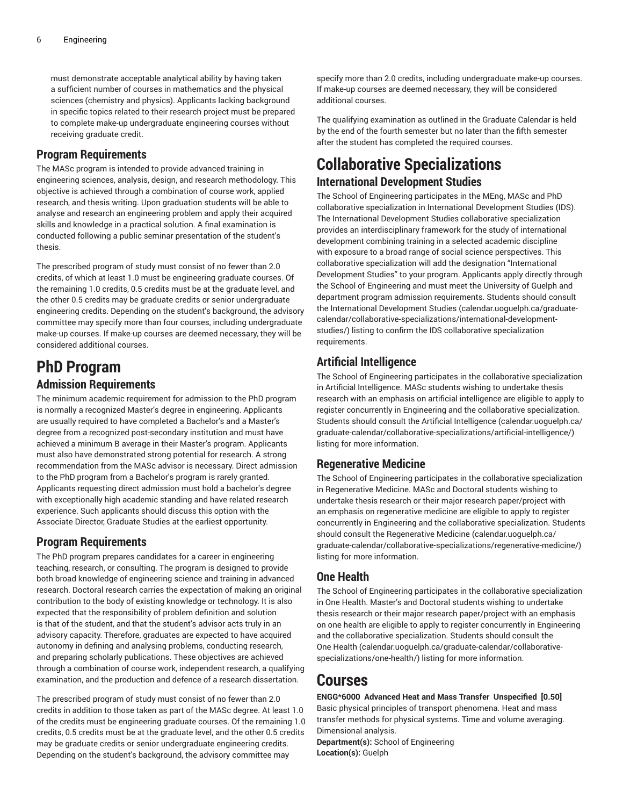must demonstrate acceptable analytical ability by having taken a sufficient number of courses in mathematics and the physical sciences (chemistry and physics). Applicants lacking background in specific topics related to their research project must be prepared to complete make-up undergraduate engineering courses without receiving graduate credit.

# **Program Requirements**

The MASc program is intended to provide advanced training in engineering sciences, analysis, design, and research methodology. This objective is achieved through a combination of course work, applied research, and thesis writing. Upon graduation students will be able to analyse and research an engineering problem and apply their acquired skills and knowledge in a practical solution. A final examination is conducted following a public seminar presentation of the student's thesis.

The prescribed program of study must consist of no fewer than 2.0 credits, of which at least 1.0 must be engineering graduate courses. Of the remaining 1.0 credits, 0.5 credits must be at the graduate level, and the other 0.5 credits may be graduate credits or senior undergraduate engineering credits. Depending on the student's background, the advisory committee may specify more than four courses, including undergraduate make-up courses. If make-up courses are deemed necessary, they will be considered additional courses.

# **PhD Program Admission Requirements**

The minimum academic requirement for admission to the PhD program is normally a recognized Master's degree in engineering. Applicants are usually required to have completed a Bachelor's and a Master's degree from a recognized post-secondary institution and must have achieved a minimum B average in their Master's program. Applicants must also have demonstrated strong potential for research. A strong recommendation from the MASc advisor is necessary. Direct admission to the PhD program from a Bachelor's program is rarely granted. Applicants requesting direct admission must hold a bachelor's degree with exceptionally high academic standing and have related research experience. Such applicants should discuss this option with the Associate Director, Graduate Studies at the earliest opportunity.

# **Program Requirements**

The PhD program prepares candidates for a career in engineering teaching, research, or consulting. The program is designed to provide both broad knowledge of engineering science and training in advanced research. Doctoral research carries the expectation of making an original contribution to the body of existing knowledge or technology. It is also expected that the responsibility of problem definition and solution is that of the student, and that the student's advisor acts truly in an advisory capacity. Therefore, graduates are expected to have acquired autonomy in defining and analysing problems, conducting research, and preparing scholarly publications. These objectives are achieved through a combination of course work, independent research, a qualifying examination, and the production and defence of a research dissertation.

The prescribed program of study must consist of no fewer than 2.0 credits in addition to those taken as part of the MASc degree. At least 1.0 of the credits must be engineering graduate courses. Of the remaining 1.0 credits, 0.5 credits must be at the graduate level, and the other 0.5 credits may be graduate credits or senior undergraduate engineering credits. Depending on the student's background, the advisory committee may

specify more than 2.0 credits, including undergraduate make-up courses. If make-up courses are deemed necessary, they will be considered additional courses.

The qualifying examination as outlined in the Graduate Calendar is held by the end of the fourth semester but no later than the fifth semester after the student has completed the required courses.

# **Collaborative Specializations**

# **International Development Studies**

The School of Engineering participates in the MEng, MASc and PhD collaborative specialization in International Development Studies (IDS). The International Development Studies collaborative specialization provides an interdisciplinary framework for the study of international development combining training in a selected academic discipline with exposure to a broad range of social science perspectives. This collaborative specialization will add the designation "International Development Studies" to your program. Applicants apply directly through the School of Engineering and must meet the University of Guelph and department program admission requirements. Students should consult the International [Development](H������0�3��N��9h�?`Jo�seS�2��x�f�_�e��L1�Ҳۚ=��sM�1�p� $u9}�M����W�gɘ9��A%�������|A���E��) Studies ([calendar.uoguelph.ca/graduate](H������0�3��N��9h�?`Jo�seS�2��x�f�_�e��L1�Ҳۚ=��sM�1�p� $u9}�M����W�gɘ9��A%�������|A���E��)[calendar/collaborative-specializations/international-development](H������0�3��N��9h�?`Jo�seS�2��x�f�_�e��L1�Ҳۚ=��sM�1�p� $u9}�M����W�gɘ9��A%�������|A���E��)[studies/](H������0�3��N��9h�?`Jo�seS�2��x�f�_�e��L1�Ҳۚ=��sM�1�p� $u9}�M����W�gɘ9��A%�������|A���E��)) listing to confirm the IDS collaborative specialization requirements.

# **Artificial Intelligence**

The School of Engineering participates in the collaborative specialization in Artificial Intelligence. MASc students wishing to undertake thesis research with an emphasis on artificial intelligence are eligible to apply to register concurrently in Engineering and the collaborative specialization. Students should consult the Artificial [Intelligence](���<��������
�H
��q����u/���5S>�2j_�CX]�p��x�j*�?Bԫ�8�Q�C��hQ����a���c��g�8Oˠ�) ([calendar.uoguelph.ca/](���<��������
�H
��q����u/���5S>�2j_�CX]�p��x�j*�?Bԫ�8�Q�C��hQ����a���c��g�8Oˠ�) [graduate-calendar/collaborative-specializations/artificial-intelligence/\)](���<��������
�H
��q����u/���5S>�2j_�CX]�p��x�j*�?Bԫ�8�Q�C��hQ����a���c��g�8Oˠ�) listing for more information.

# **Regenerative Medicine**

The School of Engineering participates in the collaborative specialization in Regenerative Medicine. MASc and Doctoral students wishing to undertake thesis research or their major research paper/project with an emphasis on regenerative medicine are eligible to apply to register concurrently in Engineering and the collaborative specialization. Students should consult the [Regenerative](=���d��/ �g=�֩We i*�&�@�) Medicine ([calendar.uoguelph.ca/](=���d��/ �g=�֩We i*�&�@�) [graduate-calendar/collaborative-specializations/regenerative-medicine/\)](=���d��/ �g=�֩We i*�&�@�) listing for more information.

# **One Health**

The School of Engineering participates in the collaborative specialization in One Health. Master's and Doctoral students wishing to undertake thesis research or their major research paper/project with an emphasis on one health are eligible to apply to register concurrently in Engineering and the collaborative specialization. Students should consult the [One Health](�����V�J�?��ИF��,�J�,Aa���<֫׬T��)������}V�Kk�m.9�(ITpE=�54�����64) ([calendar.uoguelph.ca/graduate-calendar/collaborative](�����V�J�?��ИF��,�J�,Aa���<֫׬T��)������}V�Kk�m.9�(ITpE=�54�����64)[specializations/one-health/](�����V�J�?��ИF��,�J�,Aa���<֫׬T��)������}V�Kk�m.9�(ITpE=�54�����64)) listing for more information.

# **Courses**

**ENGG\*6000 Advanced Heat and Mass Transfer Unspecified [0.50]** Basic physical principles of transport phenomena. Heat and mass transfer methods for physical systems. Time and volume averaging. Dimensional analysis.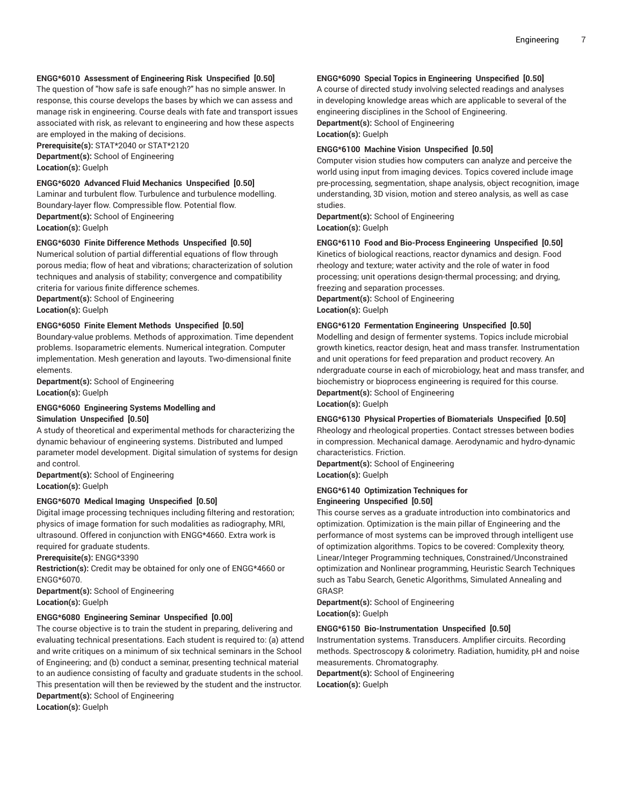#### **ENGG\*6010 Assessment of Engineering Risk Unspecified [0.50]**

The question of "how safe is safe enough?" has no simple answer. In response, this course develops the bases by which we can assess and manage risk in engineering. Course deals with fate and transport issues associated with risk, as relevant to engineering and how these aspects are employed in the making of decisions.

**Prerequisite(s):** STAT\*2040 or STAT\*2120

**Department(s):** School of Engineering **Location(s):** Guelph

#### **ENGG\*6020 Advanced Fluid Mechanics Unspecified [0.50]**

Laminar and turbulent flow. Turbulence and turbulence modelling. Boundary-layer flow. Compressible flow. Potential flow. **Department(s):** School of Engineering **Location(s):** Guelph

# **ENGG\*6030 Finite Difference Methods Unspecified [0.50]**

Numerical solution of partial differential equations of flow through porous media; flow of heat and vibrations; characterization of solution techniques and analysis of stability; convergence and compatibility criteria for various finite difference schemes.

**Department(s):** School of Engineering **Location(s):** Guelph

# **ENGG\*6050 Finite Element Methods Unspecified [0.50]**

Boundary-value problems. Methods of approximation. Time dependent problems. Isoparametric elements. Numerical integration. Computer implementation. Mesh generation and layouts. Two-dimensional finite elements.

**Department(s):** School of Engineering **Location(s):** Guelph

#### **ENGG\*6060 Engineering Systems Modelling and Simulation Unspecified [0.50]**

A study of theoretical and experimental methods for characterizing the dynamic behaviour of engineering systems. Distributed and lumped parameter model development. Digital simulation of systems for design and control.

**Department(s):** School of Engineering **Location(s):** Guelph

#### **ENGG\*6070 Medical Imaging Unspecified [0.50]**

Digital image processing techniques including filtering and restoration; physics of image formation for such modalities as radiography, MRI, ultrasound. Offered in conjunction with ENGG\*4660. Extra work is required for graduate students.

**Prerequisite(s):** ENGG\*3390

**Restriction(s):** Credit may be obtained for only one of ENGG\*4660 or ENGG\*6070.

**Department(s):** School of Engineering **Location(s):** Guelph

#### **ENGG\*6080 Engineering Seminar Unspecified [0.00]**

The course objective is to train the student in preparing, delivering and evaluating technical presentations. Each student is required to: (a) attend and write critiques on a minimum of six technical seminars in the School of Engineering; and (b) conduct a seminar, presenting technical material to an audience consisting of faculty and graduate students in the school. This presentation will then be reviewed by the student and the instructor. **Department(s):** School of Engineering

**Location(s):** Guelph

#### **ENGG\*6090 Special Topics in Engineering Unspecified [0.50]**

A course of directed study involving selected readings and analyses in developing knowledge areas which are applicable to several of the engineering disciplines in the School of Engineering.

**Department(s):** School of Engineering **Location(s):** Guelph

#### **ENGG\*6100 Machine Vision Unspecified [0.50]**

Computer vision studies how computers can analyze and perceive the world using input from imaging devices. Topics covered include image pre-processing, segmentation, shape analysis, object recognition, image understanding, 3D vision, motion and stereo analysis, as well as case studies.

**Department(s):** School of Engineering **Location(s):** Guelph

#### **ENGG\*6110 Food and Bio-Process Engineering Unspecified [0.50]**

Kinetics of biological reactions, reactor dynamics and design. Food rheology and texture; water activity and the role of water in food processing; unit operations design-thermal processing; and drying, freezing and separation processes.

**Department(s):** School of Engineering **Location(s):** Guelph

#### **ENGG\*6120 Fermentation Engineering Unspecified [0.50]**

Modelling and design of fermenter systems. Topics include microbial growth kinetics, reactor design, heat and mass transfer. Instrumentation and unit operations for feed preparation and product recovery. An ndergraduate course in each of microbiology, heat and mass transfer, and biochemistry or bioprocess engineering is required for this course. **Department(s):** School of Engineering

**Location(s):** Guelph

#### **ENGG\*6130 Physical Properties of Biomaterials Unspecified [0.50]**

Rheology and rheological properties. Contact stresses between bodies in compression. Mechanical damage. Aerodynamic and hydro-dynamic characteristics. Friction.

**Department(s):** School of Engineering **Location(s):** Guelph

#### **ENGG\*6140 Optimization Techniques for Engineering Unspecified [0.50]**

This course serves as a graduate introduction into combinatorics and optimization. Optimization is the main pillar of Engineering and the performance of most systems can be improved through intelligent use of optimization algorithms. Topics to be covered: Complexity theory, Linear/Integer Programming techniques, Constrained/Unconstrained optimization and Nonlinear programming, Heuristic Search Techniques such as Tabu Search, Genetic Algorithms, Simulated Annealing and **GRASP** 

**Department(s):** School of Engineering **Location(s):** Guelph

#### **ENGG\*6150 Bio-Instrumentation Unspecified [0.50]**

Instrumentation systems. Transducers. Amplifier circuits. Recording methods. Spectroscopy & colorimetry. Radiation, humidity, pH and noise measurements. Chromatography.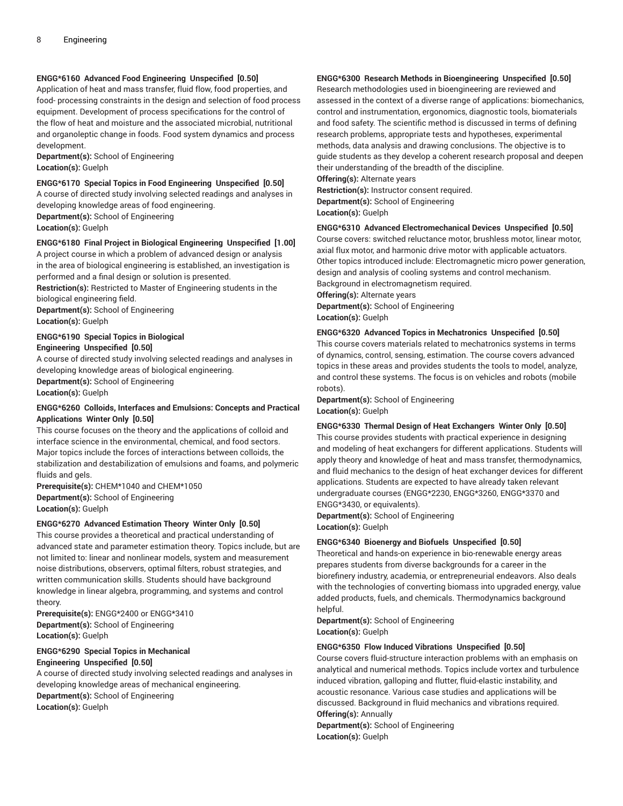# **ENGG\*6160 Advanced Food Engineering Unspecified [0.50]**

Application of heat and mass transfer, fluid flow, food properties, and food- processing constraints in the design and selection of food process equipment. Development of process specifications for the control of the flow of heat and moisture and the associated microbial, nutritional and organoleptic change in foods. Food system dynamics and process development.

**Department(s):** School of Engineering **Location(s):** Guelph

**ENGG\*6170 Special Topics in Food Engineering Unspecified [0.50]**

A course of directed study involving selected readings and analyses in developing knowledge areas of food engineering.

**Department(s):** School of Engineering

**Location(s):** Guelph

#### **ENGG\*6180 Final Project in Biological Engineering Unspecified [1.00]**

A project course in which a problem of advanced design or analysis in the area of biological engineering is established, an investigation is performed and a final design or solution is presented.

**Restriction(s):** Restricted to Master of Engineering students in the biological engineering field. **Department(s):** School of Engineering

**Location(s):** Guelph

# **ENGG\*6190 Special Topics in Biological**

# **Engineering Unspecified [0.50]**

A course of directed study involving selected readings and analyses in developing knowledge areas of biological engineering.

**Department(s):** School of Engineering **Location(s):** Guelph

# **ENGG\*6260 Colloids, Interfaces and Emulsions: Concepts and Practical Applications Winter Only [0.50]**

This course focuses on the theory and the applications of colloid and interface science in the environmental, chemical, and food sectors. Major topics include the forces of interactions between colloids, the stabilization and destabilization of emulsions and foams, and polymeric fluids and gels.

**Prerequisite(s):** CHEM\*1040 and CHEM\*1050 **Department(s):** School of Engineering **Location(s):** Guelph

#### **ENGG\*6270 Advanced Estimation Theory Winter Only [0.50]**

This course provides a theoretical and practical understanding of advanced state and parameter estimation theory. Topics include, but are not limited to: linear and nonlinear models, system and measurement noise distributions, observers, optimal filters, robust strategies, and written communication skills. Students should have background knowledge in linear algebra, programming, and systems and control theory.

**Prerequisite(s):** ENGG\*2400 or ENGG\*3410 **Department(s):** School of Engineering **Location(s):** Guelph

#### **ENGG\*6290 Special Topics in Mechanical Engineering Unspecified [0.50]**

A course of directed study involving selected readings and analyses in developing knowledge areas of mechanical engineering. **Department(s):** School of Engineering **Location(s):** Guelph

# **ENGG\*6300 Research Methods in Bioengineering Unspecified [0.50]**

Research methodologies used in bioengineering are reviewed and assessed in the context of a diverse range of applications: biomechanics, control and instrumentation, ergonomics, diagnostic tools, biomaterials and food safety. The scientific method is discussed in terms of defining research problems, appropriate tests and hypotheses, experimental methods, data analysis and drawing conclusions. The objective is to guide students as they develop a coherent research proposal and deepen their understanding of the breadth of the discipline.

**Offering(s):** Alternate years **Restriction(s):** Instructor consent required. **Department(s):** School of Engineering **Location(s):** Guelph

#### **ENGG\*6310 Advanced Electromechanical Devices Unspecified [0.50]**

Course covers: switched reluctance motor, brushless motor, linear motor, axial flux motor, and harmonic drive motor with applicable actuators. Other topics introduced include: Electromagnetic micro power generation, design and analysis of cooling systems and control mechanism. Background in electromagnetism required.

**Offering(s):** Alternate years **Department(s):** School of Engineering **Location(s):** Guelph

#### **ENGG\*6320 Advanced Topics in Mechatronics Unspecified [0.50]**

This course covers materials related to mechatronics systems in terms of dynamics, control, sensing, estimation. The course covers advanced topics in these areas and provides students the tools to model, analyze, and control these systems. The focus is on vehicles and robots (mobile robots).

**Department(s):** School of Engineering **Location(s):** Guelph

#### **ENGG\*6330 Thermal Design of Heat Exchangers Winter Only [0.50]**

This course provides students with practical experience in designing and modeling of heat exchangers for different applications. Students will apply theory and knowledge of heat and mass transfer, thermodynamics, and fluid mechanics to the design of heat exchanger devices for different applications. Students are expected to have already taken relevant undergraduate courses (ENGG\*2230, ENGG\*3260, ENGG\*3370 and ENGG\*3430, or equivalents).

**Department(s):** School of Engineering **Location(s):** Guelph

#### **ENGG\*6340 Bioenergy and Biofuels Unspecified [0.50]**

Theoretical and hands-on experience in bio-renewable energy areas prepares students from diverse backgrounds for a career in the biorefinery industry, academia, or entrepreneurial endeavors. Also deals with the technologies of converting biomass into upgraded energy, value added products, fuels, and chemicals. Thermodynamics background helpful.

**Department(s):** School of Engineering **Location(s):** Guelph

#### **ENGG\*6350 Flow Induced Vibrations Unspecified [0.50]**

Course covers fluid-structure interaction problems with an emphasis on analytical and numerical methods. Topics include vortex and turbulence induced vibration, galloping and flutter, fluid-elastic instability, and acoustic resonance. Various case studies and applications will be discussed. Background in fluid mechanics and vibrations required. **Offering(s):** Annually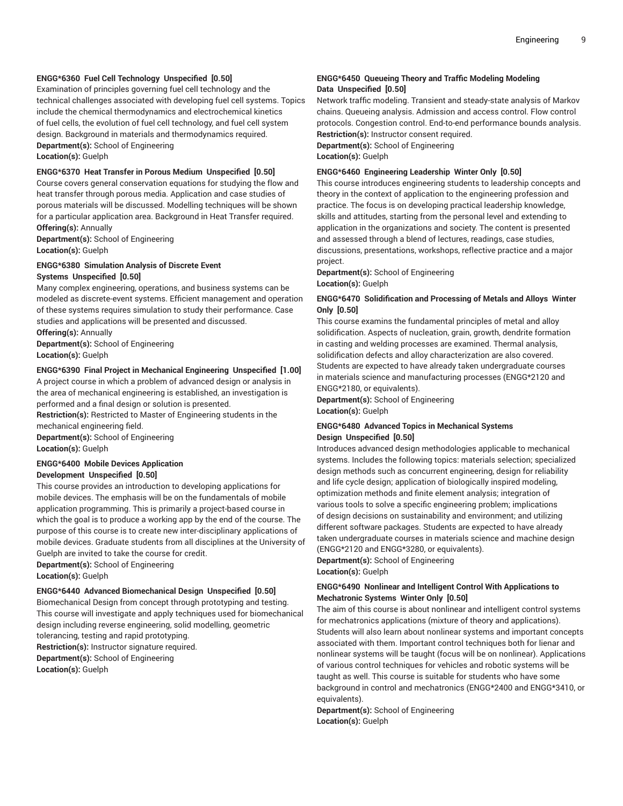# **ENGG\*6360 Fuel Cell Technology Unspecified [0.50]**

Examination of principles governing fuel cell technology and the technical challenges associated with developing fuel cell systems. Topics include the chemical thermodynamics and electrochemical kinetics of fuel cells, the evolution of fuel cell technology, and fuel cell system design. Background in materials and thermodynamics required. **Department(s):** School of Engineering **Location(s):** Guelph

#### **ENGG\*6370 Heat Transfer in Porous Medium Unspecified [0.50]**

Course covers general conservation equations for studying the flow and heat transfer through porous media. Application and case studies of porous materials will be discussed. Modelling techniques will be shown for a particular application area. Background in Heat Transfer required. **Offering(s):** Annually

**Department(s):** School of Engineering **Location(s):** Guelph

#### **ENGG\*6380 Simulation Analysis of Discrete Event Systems Unspecified [0.50]**

Many complex engineering, operations, and business systems can be modeled as discrete-event systems. Efficient management and operation of these systems requires simulation to study their performance. Case studies and applications will be presented and discussed.

**Offering(s):** Annually **Department(s):** School of Engineering

**Location(s):** Guelph

#### **ENGG\*6390 Final Project in Mechanical Engineering Unspecified [1.00]**

A project course in which a problem of advanced design or analysis in the area of mechanical engineering is established, an investigation is performed and a final design or solution is presented.

**Restriction(s):** Restricted to Master of Engineering students in the mechanical engineering field. **Department(s):** School of Engineering

**Location(s):** Guelph

#### **ENGG\*6400 Mobile Devices Application Development Unspecified [0.50]**

This course provides an introduction to developing applications for mobile devices. The emphasis will be on the fundamentals of mobile application programming. This is primarily a project-based course in which the goal is to produce a working app by the end of the course. The purpose of this course is to create new inter-disciplinary applications of mobile devices. Graduate students from all disciplines at the University of Guelph are invited to take the course for credit.

**Department(s):** School of Engineering **Location(s):** Guelph

# **ENGG\*6440 Advanced Biomechanical Design Unspecified [0.50]**

Biomechanical Design from concept through prototyping and testing. This course will investigate and apply techniques used for biomechanical design including reverse engineering, solid modelling, geometric tolerancing, testing and rapid prototyping. **Restriction(s):** Instructor signature required. **Department(s):** School of Engineering **Location(s):** Guelph

#### **ENGG\*6450 Queueing Theory and Traffic Modeling Modeling Data Unspecified [0.50]**

Network traffic modeling. Transient and steady-state analysis of Markov chains. Queueing analysis. Admission and access control. Flow control protocols. Congestion control. End-to-end performance bounds analysis. **Restriction(s):** Instructor consent required. **Department(s):** School of Engineering **Location(s):** Guelph

#### **ENGG\*6460 Engineering Leadership Winter Only [0.50]**

This course introduces engineering students to leadership concepts and theory in the context of application to the engineering profession and practice. The focus is on developing practical leadership knowledge, skills and attitudes, starting from the personal level and extending to application in the organizations and society. The content is presented and assessed through a blend of lectures, readings, case studies, discussions, presentations, workshops, reflective practice and a major project.

**Department(s):** School of Engineering **Location(s):** Guelph

# **ENGG\*6470 Solidification and Processing of Metals and Alloys Winter Only [0.50]**

This course examins the fundamental principles of metal and alloy solidification. Aspects of nucleation, grain, growth, dendrite formation in casting and welding processes are examined. Thermal analysis, solidification defects and alloy characterization are also covered. Students are expected to have already taken undergraduate courses in materials science and manufacturing processes (ENGG\*2120 and ENGG\*2180, or equivalents).

**Department(s):** School of Engineering **Location(s):** Guelph

# **ENGG\*6480 Advanced Topics in Mechanical Systems Design Unspecified [0.50]**

Introduces advanced design methodologies applicable to mechanical systems. Includes the following topics: materials selection; specialized design methods such as concurrent engineering, design for reliability and life cycle design; application of biologically inspired modeling, optimization methods and finite element analysis; integration of various tools to solve a specific engineering problem; implications of design decisions on sustainability and environment; and utilizing different software packages. Students are expected to have already taken undergraduate courses in materials science and machine design (ENGG\*2120 and ENGG\*3280, or equivalents).

**Department(s):** School of Engineering **Location(s):** Guelph

#### **ENGG\*6490 Nonlinear and Intelligent Control With Applications to Mechatronic Systems Winter Only [0.50]**

The aim of this course is about nonlinear and intelligent control systems for mechatronics applications (mixture of theory and applications). Students will also learn about nonlinear systems and important concepts associated with them. Important control techniques both for lienar and nonlinear systems will be taught (focus will be on nonlinear). Applications of various control techniques for vehicles and robotic systems will be taught as well. This course is suitable for students who have some background in control and mechatronics (ENGG\*2400 and ENGG\*3410, or equivalents).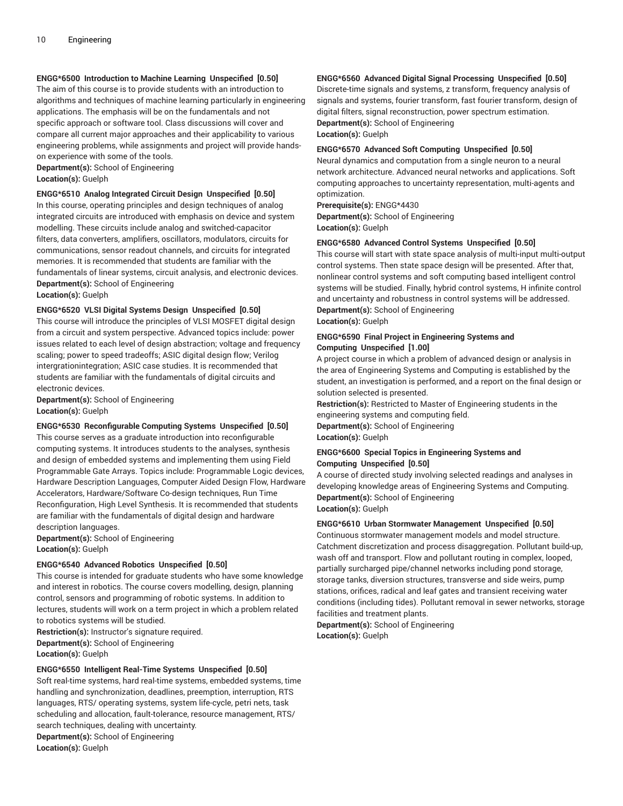## **ENGG\*6500 Introduction to Machine Learning Unspecified [0.50]**

The aim of this course is to provide students with an introduction to algorithms and techniques of machine learning particularly in engineering applications. The emphasis will be on the fundamentals and not specific approach or software tool. Class discussions will cover and compare all current major approaches and their applicability to various engineering problems, while assignments and project will provide handson experience with some of the tools.

**Department(s):** School of Engineering **Location(s):** Guelph

# **ENGG\*6510 Analog Integrated Circuit Design Unspecified [0.50]**

In this course, operating principles and design techniques of analog integrated circuits are introduced with emphasis on device and system modelling. These circuits include analog and switched-capacitor filters, data converters, amplifiers, oscillators, modulators, circuits for communications, sensor readout channels, and circuits for integrated memories. It is recommended that students are familiar with the fundamentals of linear systems, circuit analysis, and electronic devices. **Department(s):** School of Engineering **Location(s):** Guelph

# **ENGG\*6520 VLSI Digital Systems Design Unspecified [0.50]**

This course will introduce the principles of VLSI MOSFET digital design from a circuit and system perspective. Advanced topics include: power issues related to each level of design abstraction; voltage and frequency scaling; power to speed tradeoffs; ASIC digital design flow; Verilog intergrationintegration; ASIC case studies. It is recommended that students are familiar with the fundamentals of digital circuits and electronic devices.

**Department(s):** School of Engineering **Location(s):** Guelph

#### **ENGG\*6530 Reconfigurable Computing Systems Unspecified [0.50]**

This course serves as a graduate introduction into reconfigurable computing systems. It introduces students to the analyses, synthesis and design of embedded systems and implementing them using Field Programmable Gate Arrays. Topics include: Programmable Logic devices, Hardware Description Languages, Computer Aided Design Flow, Hardware Accelerators, Hardware/Software Co-design techniques, Run Time Reconfiguration, High Level Synthesis. It is recommended that students are familiar with the fundamentals of digital design and hardware description languages.

**Department(s):** School of Engineering **Location(s):** Guelph

# **ENGG\*6540 Advanced Robotics Unspecified [0.50]**

This course is intended for graduate students who have some knowledge and interest in robotics. The course covers modelling, design, planning control, sensors and programming of robotic systems. In addition to lectures, students will work on a term project in which a problem related to robotics systems will be studied.

**Restriction(s):** Instructor's signature required. **Department(s):** School of Engineering **Location(s):** Guelph

#### **ENGG\*6550 Intelligent Real-Time Systems Unspecified [0.50]**

Soft real-time systems, hard real-time systems, embedded systems, time handling and synchronization, deadlines, preemption, interruption, RTS languages, RTS/ operating systems, system life-cycle, petri nets, task scheduling and allocation, fault-tolerance, resource management, RTS/ search techniques, dealing with uncertainty. **Department(s):** School of Engineering **Location(s):** Guelph

#### **ENGG\*6560 Advanced Digital Signal Processing Unspecified [0.50]**

Discrete-time signals and systems, z transform, frequency analysis of signals and systems, fourier transform, fast fourier transform, design of digital filters, signal reconstruction, power spectrum estimation. **Department(s):** School of Engineering

**Location(s):** Guelph

#### **ENGG\*6570 Advanced Soft Computing Unspecified [0.50]**

Neural dynamics and computation from a single neuron to a neural network architecture. Advanced neural networks and applications. Soft computing approaches to uncertainty representation, multi-agents and optimization.

**Prerequisite(s):** ENGG\*4430 **Department(s):** School of Engineering **Location(s):** Guelph

#### **ENGG\*6580 Advanced Control Systems Unspecified [0.50]**

This course will start with state space analysis of multi-input multi-output control systems. Then state space design will be presented. After that, nonlinear control systems and soft computing based intelligent control systems will be studied. Finally, hybrid control systems, H infinite control and uncertainty and robustness in control systems will be addressed. **Department(s):** School of Engineering

**Location(s):** Guelph

# **ENGG\*6590 Final Project in Engineering Systems and Computing Unspecified [1.00]**

A project course in which a problem of advanced design or analysis in the area of Engineering Systems and Computing is established by the student, an investigation is performed, and a report on the final design or solution selected is presented.

**Restriction(s):** Restricted to Master of Engineering students in the engineering systems and computing field.

**Department(s):** School of Engineering **Location(s):** Guelph

# **ENGG\*6600 Special Topics in Engineering Systems and Computing Unspecified [0.50]**

A course of directed study involving selected readings and analyses in developing knowledge areas of Engineering Systems and Computing. **Department(s):** School of Engineering **Location(s):** Guelph

#### **ENGG\*6610 Urban Stormwater Management Unspecified [0.50]**

Continuous stormwater management models and model structure. Catchment discretization and process disaggregation. Pollutant build-up, wash off and transport. Flow and pollutant routing in complex, looped, partially surcharged pipe/channel networks including pond storage, storage tanks, diversion structures, transverse and side weirs, pump stations, orifices, radical and leaf gates and transient receiving water conditions (including tides). Pollutant removal in sewer networks, storage facilities and treatment plants.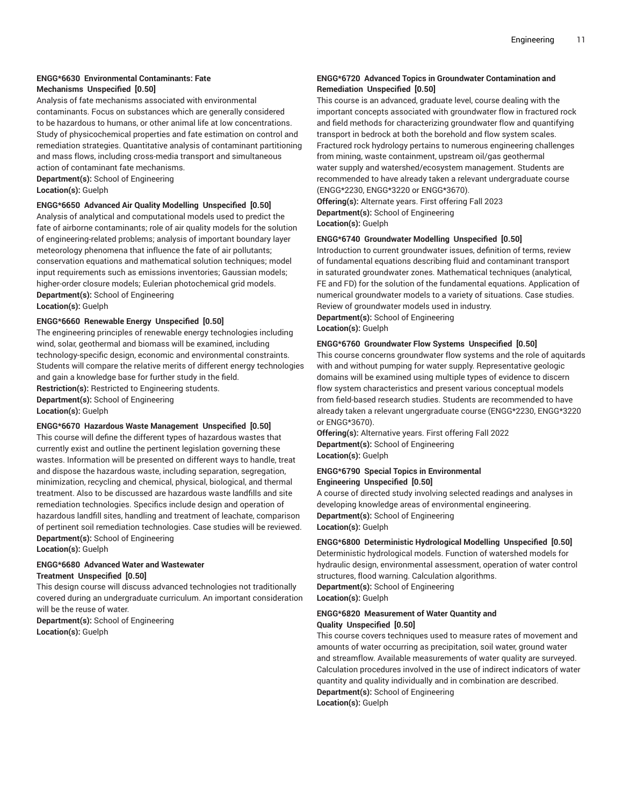#### **ENGG\*6630 Environmental Contaminants: Fate Mechanisms Unspecified [0.50]**

Analysis of fate mechanisms associated with environmental contaminants. Focus on substances which are generally considered to be hazardous to humans, or other animal life at low concentrations. Study of physicochemical properties and fate estimation on control and remediation strategies. Quantitative analysis of contaminant partitioning and mass flows, including cross-media transport and simultaneous action of contaminant fate mechanisms. **Department(s):** School of Engineering

**Location(s):** Guelph

#### **ENGG\*6650 Advanced Air Quality Modelling Unspecified [0.50]**

Analysis of analytical and computational models used to predict the fate of airborne contaminants; role of air quality models for the solution of engineering-related problems; analysis of important boundary layer meteorology phenomena that influence the fate of air pollutants; conservation equations and mathematical solution techniques; model input requirements such as emissions inventories; Gaussian models; higher-order closure models; Eulerian photochemical grid models. **Department(s):** School of Engineering

**Location(s):** Guelph

#### **ENGG\*6660 Renewable Energy Unspecified [0.50]**

The engineering principles of renewable energy technologies including wind, solar, geothermal and biomass will be examined, including technology-specific design, economic and environmental constraints. Students will compare the relative merits of different energy technologies and gain a knowledge base for further study in the field.

**Restriction(s):** Restricted to Engineering students. **Department(s):** School of Engineering **Location(s):** Guelph

#### **ENGG\*6670 Hazardous Waste Management Unspecified [0.50]**

This course will define the different types of hazardous wastes that currently exist and outline the pertinent legislation governing these wastes. Information will be presented on different ways to handle, treat and dispose the hazardous waste, including separation, segregation, minimization, recycling and chemical, physical, biological, and thermal treatment. Also to be discussed are hazardous waste landfills and site remediation technologies. Specifics include design and operation of hazardous landfill sites, handling and treatment of leachate, comparison of pertinent soil remediation technologies. Case studies will be reviewed. **Department(s):** School of Engineering

**Location(s):** Guelph

# **ENGG\*6680 Advanced Water and Wastewater Treatment Unspecified [0.50]**

This design course will discuss advanced technologies not traditionally covered during an undergraduate curriculum. An important consideration will be the reuse of water.

**Department(s):** School of Engineering **Location(s):** Guelph

# **ENGG\*6720 Advanced Topics in Groundwater Contamination and Remediation Unspecified [0.50]**

This course is an advanced, graduate level, course dealing with the important concepts associated with groundwater flow in fractured rock and field methods for characterizing groundwater flow and quantifying transport in bedrock at both the borehold and flow system scales. Fractured rock hydrology pertains to numerous engineering challenges from mining, waste containment, upstream oil/gas geothermal water supply and watershed/ecosystem management. Students are recommended to have already taken a relevant undergraduate course (ENGG\*2230, ENGG\*3220 or ENGG\*3670).

**Offering(s):** Alternate years. First offering Fall 2023 **Department(s):** School of Engineering **Location(s):** Guelph

#### **ENGG\*6740 Groundwater Modelling Unspecified [0.50]**

Introduction to current groundwater issues, definition of terms, review of fundamental equations describing fluid and contaminant transport in saturated groundwater zones. Mathematical techniques (analytical, FE and FD) for the solution of the fundamental equations. Application of numerical groundwater models to a variety of situations. Case studies. Review of groundwater models used in industry.

**Department(s):** School of Engineering **Location(s):** Guelph

#### **ENGG\*6760 Groundwater Flow Systems Unspecified [0.50]**

This course concerns groundwater flow systems and the role of aquitards with and without pumping for water supply. Representative geologic domains will be examined using multiple types of evidence to discern flow system characteristics and present various conceptual models from field-based research studies. Students are recommended to have already taken a relevant ungergraduate course (ENGG\*2230, ENGG\*3220 or ENGG\*3670).

**Offering(s):** Alternative years. First offering Fall 2022 **Department(s):** School of Engineering **Location(s):** Guelph

#### **ENGG\*6790 Special Topics in Environmental Engineering Unspecified [0.50]**

A course of directed study involving selected readings and analyses in developing knowledge areas of environmental engineering. **Department(s):** School of Engineering **Location(s):** Guelph

#### **ENGG\*6800 Deterministic Hydrological Modelling Unspecified [0.50]**

Deterministic hydrological models. Function of watershed models for hydraulic design, environmental assessment, operation of water control structures, flood warning. Calculation algorithms. **Department(s):** School of Engineering **Location(s):** Guelph

# **ENGG\*6820 Measurement of Water Quantity and Quality Unspecified [0.50]**

This course covers techniques used to measure rates of movement and amounts of water occurring as precipitation, soil water, ground water and streamflow. Available measurements of water quality are surveyed. Calculation procedures involved in the use of indirect indicators of water quantity and quality individually and in combination are described. **Department(s):** School of Engineering **Location(s):** Guelph